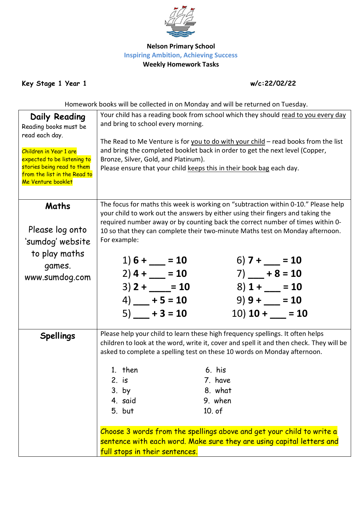

## **Nelson Primary School Inspiring Ambition, Achieving Success Weekly Homework Tasks**

**Key Stage 1 Year 1 w/c:22/02/22**

Homework books will be collected in on Monday and will be returned on Tuesday.

| Daily Reading<br>Reading books must be<br>read each day.<br>Children in Year 1 are<br>expected to be listening to | Your child has a reading book from school which they should read to you every day<br>and bring to school every morning.<br>The Read to Me Venture is for you to do with your child - read books from the list<br>and bring the completed booklet back in order to get the next level (Copper,<br>Bronze, Silver, Gold, and Platinum).                    |                                                                                                          |                                                                      |                                                                                                                                                                                                                                                                                                                                                                                                         |  |
|-------------------------------------------------------------------------------------------------------------------|----------------------------------------------------------------------------------------------------------------------------------------------------------------------------------------------------------------------------------------------------------------------------------------------------------------------------------------------------------|----------------------------------------------------------------------------------------------------------|----------------------------------------------------------------------|---------------------------------------------------------------------------------------------------------------------------------------------------------------------------------------------------------------------------------------------------------------------------------------------------------------------------------------------------------------------------------------------------------|--|
| stories being read to them<br>from the list in the Read to<br>Me Venture booklet                                  |                                                                                                                                                                                                                                                                                                                                                          |                                                                                                          | Please ensure that your child keeps this in their book bag each day. |                                                                                                                                                                                                                                                                                                                                                                                                         |  |
| Maths<br>Please log onto<br>'sumdog' website                                                                      | The focus for maths this week is working on "subtraction within 0-10." Please help<br>your child to work out the answers by either using their fingers and taking the<br>required number away or by counting back the correct number of times within 0-<br>10 so that they can complete their two-minute Maths test on Monday afternoon.<br>For example: |                                                                                                          |                                                                      |                                                                                                                                                                                                                                                                                                                                                                                                         |  |
| to play maths<br>games.<br>www.sumdog.com                                                                         |                                                                                                                                                                                                                                                                                                                                                          | $1) 6 + \underline{\qquad} = 10$<br>$2)$ 4 + $-$ = 10<br>$3)$ 2 + = 10<br>$4)$ + 5 = 10<br>$5)$ + 3 = 10 |                                                                      | 6) $7 + \underline{\hspace{1cm}} = 10$<br>$7)$ - + 8 = 10<br>$8)$ 1 + $-$ = 10<br>$9)9 + \_ = 10$<br>$10)$ 10 + $\_\_$ = 10                                                                                                                                                                                                                                                                             |  |
| <b>Spellings</b>                                                                                                  | 1. $then$<br>2. is<br>$3.$ by<br>4. said<br>5. but                                                                                                                                                                                                                                                                                                       |                                                                                                          | 6. his<br>7. have<br>8. what<br>9. when<br>10. of                    | Please help your child to learn these high frequency spellings. It often helps<br>children to look at the word, write it, cover and spell it and then check. They will be<br>asked to complete a spelling test on these 10 words on Monday afternoon.<br>Choose 3 words from the spellings above and get your child to write a<br>sentence with each word. Make sure they are using capital letters and |  |
|                                                                                                                   | full stops in their sentences.                                                                                                                                                                                                                                                                                                                           |                                                                                                          |                                                                      |                                                                                                                                                                                                                                                                                                                                                                                                         |  |